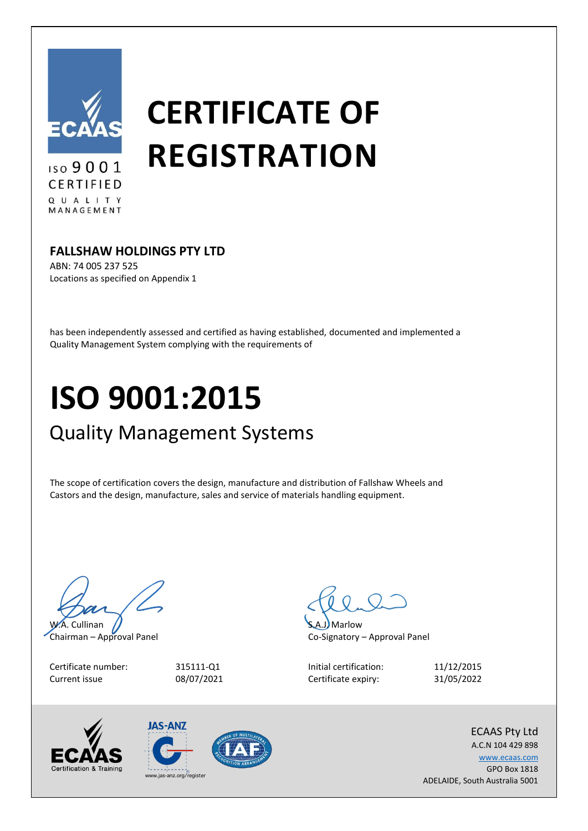

ISO 9001 CERTIFIED QUALITY MANAGEMENT

# **CERTIFICATE OF REGISTRATION**

### **FALLSHAW HOLDINGS PTY LTD**

ABN: 74 005 237 525 Locations as specified on Appendix 1

has been independently assessed and certified as having established, documented and implemented a Quality Management System complying with the requirements of

## **ISO 9001:2015**

## Quality Management Systems

The scope of certification covers the design, manufacture and distribution of Fallshaw Wheels and Castors and the design, manufacture, sales and service of materials handling equipment.

W.A. Cullinan

Chairman – Approval Panel

Certificate number: Current issue



Marlow Co-Signatory – Approval Panel

Initial certification: Certificate expiry:

11/12/2015 31/05/2022







A.C.N 104 429 898 [www.ecaas.com](http://www.ecaas.com/) GPO Box 1818 ADELAIDE, South Australia 5001 www.jas-anz.org/register

ECAAS Pty Ltd